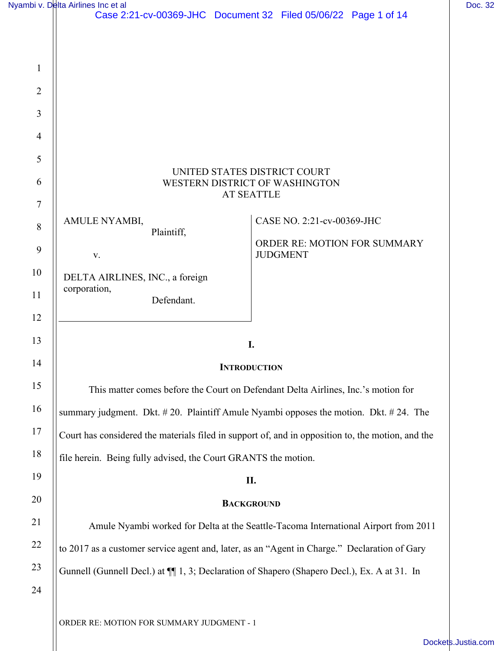|                  | Nyambi v. Delta Airlines Inc et al                                                                | Doc. 32 |
|------------------|---------------------------------------------------------------------------------------------------|---------|
|                  | Case 2:21-cv-00369-JHC Document 32 Filed 05/06/22 Page 1 of 14                                    |         |
|                  |                                                                                                   |         |
| $\mathbf{1}$     |                                                                                                   |         |
| $\overline{2}$   |                                                                                                   |         |
| 3                |                                                                                                   |         |
| $\overline{4}$   |                                                                                                   |         |
| 5                | UNITED STATES DISTRICT COURT                                                                      |         |
| 6                | WESTERN DISTRICT OF WASHINGTON<br><b>AT SEATTLE</b>                                               |         |
| 7                | CASE NO. 2:21-cv-00369-JHC<br>AMULE NYAMBI,                                                       |         |
| 8                | Plaintiff,<br>ORDER RE: MOTION FOR SUMMARY                                                        |         |
| $\boldsymbol{9}$ | <b>JUDGMENT</b><br>$\mathbf{V}$ .                                                                 |         |
| 10               | DELTA AIRLINES, INC., a foreign<br>corporation,                                                   |         |
| 11               | Defendant.                                                                                        |         |
| 12<br>13         |                                                                                                   |         |
| 14               | I.                                                                                                |         |
| 15               | <b>INTRODUCTION</b>                                                                               |         |
| 16               | This matter comes before the Court on Defendant Delta Airlines, Inc.'s motion for                 |         |
| 17               | summary judgment. Dkt. #20. Plaintiff Amule Nyambi opposes the motion. Dkt. #24. The              |         |
| 18               | Court has considered the materials filed in support of, and in opposition to, the motion, and the |         |
| 19               | file herein. Being fully advised, the Court GRANTS the motion.                                    |         |
| 20               | П.                                                                                                |         |
| 21               | <b>BACKGROUND</b>                                                                                 |         |
| 22               | Amule Nyambi worked for Delta at the Seattle-Tacoma International Airport from 2011               |         |
| 23               | to 2017 as a customer service agent and, later, as an "Agent in Charge." Declaration of Gary      |         |
| 24               | Gunnell (Gunnell Decl.) at $\P$ 1, 3; Declaration of Shapero (Shapero Decl.), Ex. A at 31. In     |         |
|                  |                                                                                                   |         |
|                  | ORDER RE: MOTION FOR SUMMARY JUDGMENT - 1                                                         |         |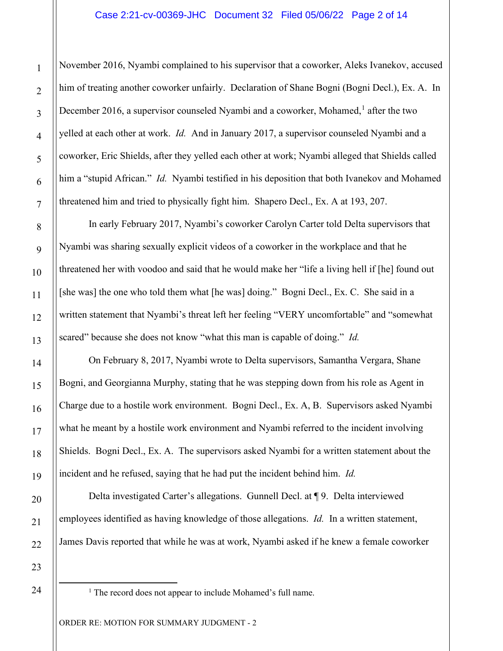### Case 2:21-cv-00369-JHC Document 32 Filed 05/06/22 Page 2 of 14

November 2016, Nyambi complained to his supervisor that a coworker, Aleks Ivanekov, accused him of treating another coworker unfairly. Declaration of Shane Bogni (Bogni Decl.), Ex. A. In December 20[1](#page-1-0)6, a supervisor counseled Nyambi and a coworker, Mohamed, $<sup>1</sup>$  after the two</sup> yelled at each other at work. *Id.* And in January 2017, a supervisor counseled Nyambi and a coworker, Eric Shields, after they yelled each other at work; Nyambi alleged that Shields called him a "stupid African." *Id.* Nyambi testified in his deposition that both Ivanekov and Mohamed threatened him and tried to physically fight him. Shapero Decl., Ex. A at 193, 207.

In early February 2017, Nyambi's coworker Carolyn Carter told Delta supervisors that Nyambi was sharing sexually explicit videos of a coworker in the workplace and that he threatened her with voodoo and said that he would make her "life a living hell if [he] found out [she was] the one who told them what [he was] doing." Bogni Decl., Ex. C. She said in a written statement that Nyambi's threat left her feeling "VERY uncomfortable" and "somewhat scared" because she does not know "what this man is capable of doing." *Id.*

On February 8, 2017, Nyambi wrote to Delta supervisors, Samantha Vergara, Shane Bogni, and Georgianna Murphy, stating that he was stepping down from his role as Agent in Charge due to a hostile work environment. Bogni Decl., Ex. A, B. Supervisors asked Nyambi what he meant by a hostile work environment and Nyambi referred to the incident involving Shields. Bogni Decl., Ex. A. The supervisors asked Nyambi for a written statement about the incident and he refused, saying that he had put the incident behind him. *Id.*

Delta investigated Carter's allegations. Gunnell Decl. at ¶ 9. Delta interviewed employees identified as having knowledge of those allegations. *Id.* In a written statement, James Davis reported that while he was at work, Nyambi asked if he knew a female coworker

21 22 23

<span id="page-1-0"></span><sup>&</sup>lt;sup>1</sup> The record does not appear to include Mohamed's full name.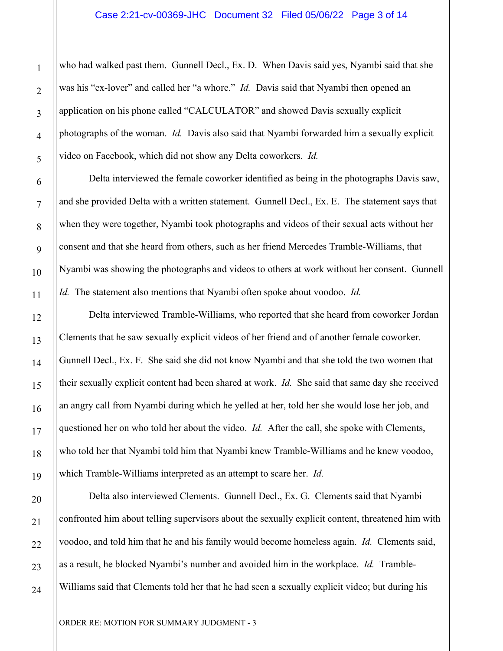who had walked past them. Gunnell Decl., Ex. D. When Davis said yes, Nyambi said that she was his "ex-lover" and called her "a whore." *Id.* Davis said that Nyambi then opened an application on his phone called "CALCULATOR" and showed Davis sexually explicit photographs of the woman. *Id.* Davis also said that Nyambi forwarded him a sexually explicit video on Facebook, which did not show any Delta coworkers. *Id.* 

Delta interviewed the female coworker identified as being in the photographs Davis saw, and she provided Delta with a written statement. Gunnell Decl., Ex. E. The statement says that when they were together, Nyambi took photographs and videos of their sexual acts without her consent and that she heard from others, such as her friend Mercedes Tramble-Williams, that Nyambi was showing the photographs and videos to others at work without her consent. Gunnell *Id.* The statement also mentions that Nyambi often spoke about voodoo. *Id.*

Delta interviewed Tramble-Williams, who reported that she heard from coworker Jordan Clements that he saw sexually explicit videos of her friend and of another female coworker. Gunnell Decl., Ex. F. She said she did not know Nyambi and that she told the two women that their sexually explicit content had been shared at work. *Id.* She said that same day she received an angry call from Nyambi during which he yelled at her, told her she would lose her job, and questioned her on who told her about the video. *Id.* After the call, she spoke with Clements, who told her that Nyambi told him that Nyambi knew Tramble-Williams and he knew voodoo, which Tramble-Williams interpreted as an attempt to scare her. *Id.*

Delta also interviewed Clements. Gunnell Decl., Ex. G. Clements said that Nyambi confronted him about telling supervisors about the sexually explicit content, threatened him with voodoo, and told him that he and his family would become homeless again. *Id.* Clements said, as a result, he blocked Nyambi's number and avoided him in the workplace. *Id.* Tramble-Williams said that Clements told her that he had seen a sexually explicit video; but during his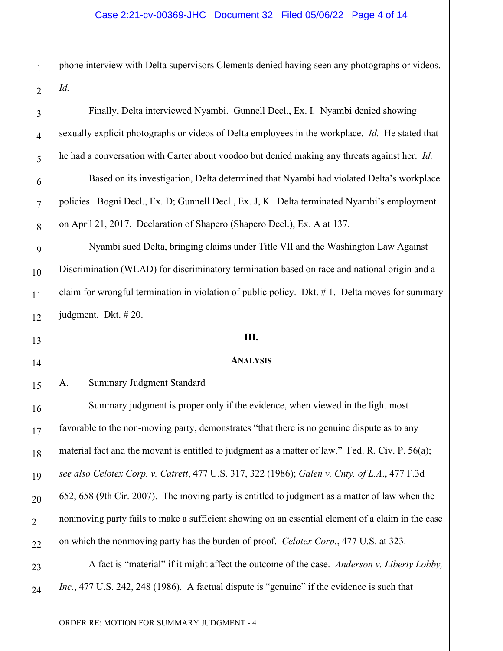phone interview with Delta supervisors Clements denied having seen any photographs or videos. *Id.*

Finally, Delta interviewed Nyambi. Gunnell Decl., Ex. I. Nyambi denied showing sexually explicit photographs or videos of Delta employees in the workplace. *Id.* He stated that he had a conversation with Carter about voodoo but denied making any threats against her. *Id.*

Based on its investigation, Delta determined that Nyambi had violated Delta's workplace policies. Bogni Decl., Ex. D; Gunnell Decl., Ex. J, K. Delta terminated Nyambi's employment on April 21, 2017. Declaration of Shapero (Shapero Decl.), Ex. A at 137.

Nyambi sued Delta, bringing claims under Title VII and the Washington Law Against Discrimination (WLAD) for discriminatory termination based on race and national origin and a claim for wrongful termination in violation of public policy. Dkt. # 1. Delta moves for summary judgment. Dkt. # 20.

### **III.**

#### **ANALYSIS**

# A. Summary Judgment Standard

Summary judgment is proper only if the evidence, when viewed in the light most favorable to the non-moving party, demonstrates "that there is no genuine dispute as to any material fact and the movant is entitled to judgment as a matter of law." Fed. R. Civ. P. 56(a); *see also Celotex Corp. v. Catrett*, 477 U.S. 317, 322 (1986); *Galen v. Cnty. of L.A*., 477 F.3d 652, 658 (9th Cir. 2007). The moving party is entitled to judgment as a matter of law when the nonmoving party fails to make a sufficient showing on an essential element of a claim in the case on which the nonmoving party has the burden of proof. *Celotex Corp.*, 477 U.S. at 323.

A fact is "material" if it might affect the outcome of the case. *Anderson v. Liberty Lobby, Inc.*, 477 U.S. 242, 248 (1986). A factual dispute is "genuine" if the evidence is such that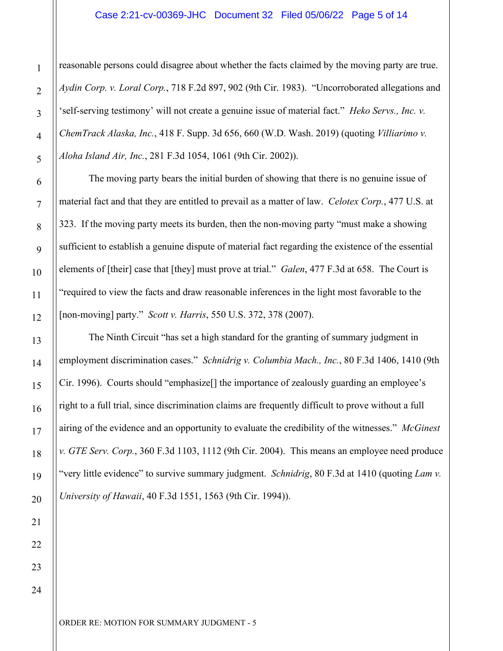### Case 2:21-cv-00369-JHC Document 32 Filed 05/06/22 Page 5 of 14

reasonable persons could disagree about whether the facts claimed by the moving party are true. *Aydin Corp. v. Loral Corp.*, 718 F.2d 897, 902 (9th Cir. 1983). "Uncorroborated allegations and 'self-serving testimony' will not create a genuine issue of material fact." *Heko Servs., Inc. v. ChemTrack Alaska, Inc.*, 418 F. Supp. 3d 656, 660 (W.D. Wash. 2019) (quoting *Villiarimo v. Aloha Island Air, Inc.*, 281 F.3d 1054, 1061 (9th Cir. 2002)).

The moving party bears the initial burden of showing that there is no genuine issue of material fact and that they are entitled to prevail as a matter of law. *Celotex Corp.*, 477 U.S. at 323. If the moving party meets its burden, then the non-moving party "must make a showing sufficient to establish a genuine dispute of material fact regarding the existence of the essential elements of [their] case that [they] must prove at trial." *Galen*, 477 F.3d at 658. The Court is "required to view the facts and draw reasonable inferences in the light most favorable to the [non-moving] party." *Scott v. Harris*, 550 U.S. 372, 378 (2007).

The Ninth Circuit "has set a high standard for the granting of summary judgment in employment discrimination cases." *Schnidrig v. Columbia Mach., Inc.*, 80 F.3d 1406, 1410 (9th Cir. 1996). Courts should "emphasize[] the importance of zealously guarding an employee's right to a full trial, since discrimination claims are frequently difficult to prove without a full airing of the evidence and an opportunity to evaluate the credibility of the witnesses." *McGinest v. GTE Serv. Corp.*, 360 F.3d 1103, 1112 (9th Cir. 2004). This means an employee need produce "very little evidence" to survive summary judgment. *Schnidrig*, 80 F.3d at 1410 (quoting *Lam v. University of Hawaii*, 40 F.3d 1551, 1563 (9th Cir. 1994)).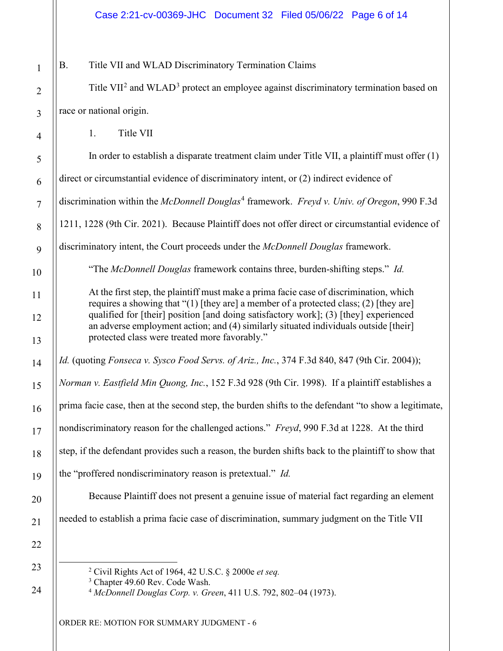B. Title VII and WLAD Discriminatory Termination Claims

Title VII<sup>[2](#page-5-0)</sup> and WLAD<sup>[3](#page-5-1)</sup> protect an employee against discriminatory termination based on race or national origin.

1. Title VII

In order to establish a disparate treatment claim under Title VII, a plaintiff must offer (1)

direct or circumstantial evidence of discriminatory intent, or (2) indirect evidence of

discrimination within the *McDonnell Douglas*[4](#page-5-2) framework. *Freyd v. Univ. of Oregon*, 990 F.3d

1211, 1228 (9th Cir. 2021). Because Plaintiff does not offer direct or circumstantial evidence of

discriminatory intent, the Court proceeds under the *McDonnell Douglas* framework.

"The *McDonnell Douglas* framework contains three, burden-shifting steps." *Id.*

At the first step, the plaintiff must make a prima facie case of discrimination, which requires a showing that "(1) [they are] a member of a protected class; (2) [they are] qualified for [their] position [and doing satisfactory work]; (3) [they] experienced an adverse employment action; and (4) similarly situated individuals outside [their] protected class were treated more favorably."

*Id.* (quoting *Fonseca v. Sysco Food Servs. of Ariz., Inc.*, 374 F.3d 840, 847 (9th Cir. 2004));

*Norman v. Eastfield Min Quong, Inc.*, 152 F.3d 928 (9th Cir. 1998).If a plaintiff establishes a

prima facie case, then at the second step, the burden shifts to the defendant "to show a legitimate,

nondiscriminatory reason for the challenged actions." *Freyd*, 990 F.3d at 1228. At the third

step, if the defendant provides such a reason, the burden shifts back to the plaintiff to show that

the "proffered nondiscriminatory reason is pretextual." *Id.*

Because Plaintiff does not present a genuine issue of material fact regarding an element

<span id="page-5-1"></span><span id="page-5-0"></span>needed to establish a prima facie case of discrimination, summary judgment on the Title VII

<sup>2</sup> Civil Rights Act of 1964, 42 U.S.C. § 2000e *et seq.*

<span id="page-5-2"></span><sup>3</sup> Chapter 49.60 Rev. Code Wash.

<sup>4</sup> *McDonnell Douglas Corp. v. Green*, 411 U.S. 792, 802–04 (1973).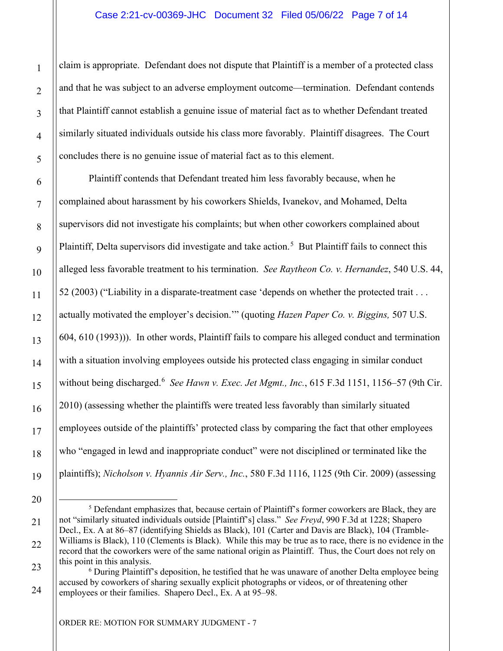# Case 2:21-cv-00369-JHC Document 32 Filed 05/06/22 Page 7 of 14

claim is appropriate. Defendant does not dispute that Plaintiff is a member of a protected class and that he was subject to an adverse employment outcome—termination. Defendant contends that Plaintiff cannot establish a genuine issue of material fact as to whether Defendant treated similarly situated individuals outside his class more favorably. Plaintiff disagrees. The Court concludes there is no genuine issue of material fact as to this element.

Plaintiff contends that Defendant treated him less favorably because, when he complained about harassment by his coworkers Shields, Ivanekov, and Mohamed, Delta supervisors did not investigate his complaints; but when other coworkers complained about Plaintiff, Delta supervisors did investigate and take action.<sup>[5](#page-6-0)</sup> But Plaintiff fails to connect this alleged less favorable treatment to his termination. *See Raytheon Co. v. Hernandez*, 540 U.S. 44, 52 (2003) ("Liability in a disparate-treatment case 'depends on whether the protected trait . . . actually motivated the employer's decision.'" (quoting *Hazen Paper Co. v. Biggins,* 507 U.S. 604, 610 (1993))). In other words, Plaintiff fails to compare his alleged conduct and termination with a situation involving employees outside his protected class engaging in similar conduct without being discharged. [6](#page-6-1) *See Hawn v. Exec. Jet Mgmt., Inc.*, 615 F.3d 1151, 1156–57 (9th Cir. 2010) (assessing whether the plaintiffs were treated less favorably than similarly situated employees outside of the plaintiffs' protected class by comparing the fact that other employees who "engaged in lewd and inappropriate conduct" were not disciplined or terminated like the plaintiffs); *Nicholson v. Hyannis Air Serv., Inc.*, 580 F.3d 1116, 1125 (9th Cir. 2009) (assessing

<span id="page-6-0"></span> $<sup>5</sup>$  Defendant emphasizes that, because certain of Plaintiff's former coworkers are Black, they are</sup> not "similarly situated individuals outside [Plaintiff's] class." *See Freyd*, 990 F.3d at 1228; Shapero Decl., Ex. A at 86–87 (identifying Shields as Black), 101 (Carter and Davis are Black), 104 (Tramble-Williams is Black), 110 (Clements is Black). While this may be true as to race, there is no evidence in the record that the coworkers were of the same national origin as Plaintiff. Thus, the Court does not rely on this point in this analysis.

<span id="page-6-1"></span><sup>&</sup>lt;sup>6</sup> During Plaintiff's deposition, he testified that he was unaware of another Delta employee being accused by coworkers of sharing sexually explicit photographs or videos, or of threatening other employees or their families. Shapero Decl., Ex. A at 95–98.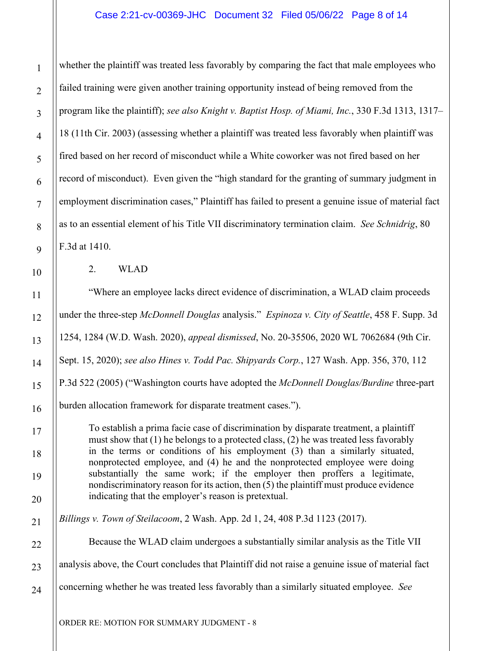# Case 2:21-cv-00369-JHC Document 32 Filed 05/06/22 Page 8 of 14

whether the plaintiff was treated less favorably by comparing the fact that male employees who failed training were given another training opportunity instead of being removed from the program like the plaintiff); *see also Knight v. Baptist Hosp. of Miami, Inc.*, 330 F.3d 1313, 1317– 18 (11th Cir. 2003) (assessing whether a plaintiff was treated less favorably when plaintiff was fired based on her record of misconduct while a White coworker was not fired based on her record of misconduct). Even given the "high standard for the granting of summary judgment in employment discrimination cases," Plaintiff has failed to present a genuine issue of material fact as to an essential element of his Title VII discriminatory termination claim. *See Schnidrig*, 80 F.3d at 1410.

2. WLAD

"Where an employee lacks direct evidence of discrimination, a WLAD claim proceeds under the three-step *McDonnell Douglas* analysis." *Espinoza v. City of Seattle*, 458 F. Supp. 3d 1254, 1284 (W.D. Wash. 2020), *appeal dismissed*, No. 20-35506, 2020 WL 7062684 (9th Cir. Sept. 15, 2020); *see also Hines v. Todd Pac. Shipyards Corp.*, 127 Wash. App. 356, 370, 112 P.3d 522 (2005) ("Washington courts have adopted the *McDonnell Douglas/Burdine* three-part burden allocation framework for disparate treatment cases.").

To establish a prima facie case of discrimination by disparate treatment, a plaintiff must show that (1) he belongs to a protected class, (2) he was treated less favorably in the terms or conditions of his employment (3) than a similarly situated, nonprotected employee, and (4) he and the nonprotected employee were doing substantially the same work; if the employer then proffers a legitimate, nondiscriminatory reason for its action, then (5) the plaintiff must produce evidence indicating that the employer's reason is pretextual.

*Billings v. Town of Steilacoom*, 2 Wash. App. 2d 1, 24, 408 P.3d 1123 (2017).

Because the WLAD claim undergoes a substantially similar analysis as the Title VII analysis above, the Court concludes that Plaintiff did not raise a genuine issue of material fact concerning whether he was treated less favorably than a similarly situated employee. *See*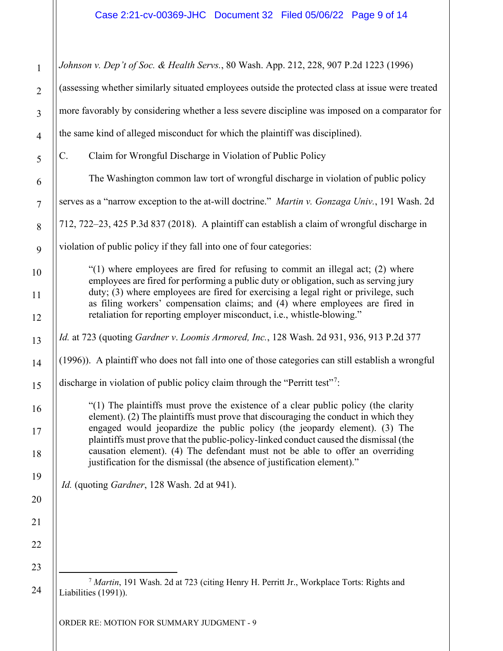<span id="page-8-0"></span>1 2 3 4 5 6 7 8 9 10 11 12 13 14 15 16 17 18 19 20 21 22 23 24 *Johnson v. Dep't of Soc. & Health Servs.*, 80 Wash. App. 212, 228, 907 P.2d 1223 (1996) (assessing whether similarly situated employees outside the protected class at issue were treated more favorably by considering whether a less severe discipline was imposed on a comparator for the same kind of alleged misconduct for which the plaintiff was disciplined). C. Claim for Wrongful Discharge in Violation of Public Policy The Washington common law tort of wrongful discharge in violation of public policy serves as a "narrow exception to the at-will doctrine." *Martin v. Gonzaga Univ.*, 191 Wash. 2d 712, 722–23, 425 P.3d 837 (2018). A plaintiff can establish a claim of wrongful discharge in violation of public policy if they fall into one of four categories:  $\degree$ (1) where employees are fired for refusing to commit an illegal act; (2) where employees are fired for performing a public duty or obligation, such as serving jury duty; (3) where employees are fired for exercising a legal right or privilege, such as filing workers' compensation claims; and (4) where employees are fired in retaliation for reporting employer misconduct, i.e., whistle-blowing." *Id.* at 723 (quoting *Gardner v*. *Loomis Armored, Inc.*, 128 Wash. 2d 931, 936, 913 P.2d 377 (1996)). A plaintiff who does not fall into one of those categories can still establish a wrongful discharge in violation of public policy claim through the "Perritt test"<sup>[7](#page-8-0)</sup>: "(1) The plaintiffs must prove the existence of a clear public policy (the clarity element). (2) The plaintiffs must prove that discouraging the conduct in which they engaged would jeopardize the public policy (the jeopardy element). (3) The plaintiffs must prove that the public-policy-linked conduct caused the dismissal (the causation element). (4) The defendant must not be able to offer an overriding justification for the dismissal (the absence of justification element)." *Id.* (quoting *Gardner*, 128 Wash. 2d at 941). <sup>7</sup> *Martin*, 191 Wash. 2d at 723 (citing Henry H. Perritt Jr., Workplace Torts: Rights and Liabilities (1991)).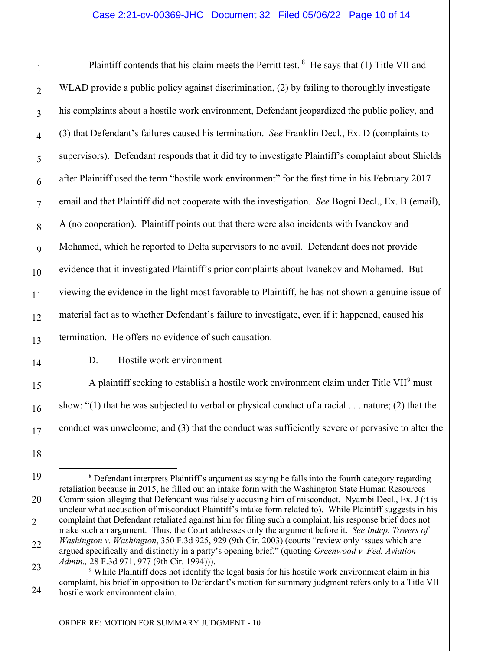Plaintiff contends that his claim meets the Perritt test.  $8$  He says that (1) Title VII and WLAD provide a public policy against discrimination, (2) by failing to thoroughly investigate his complaints about a hostile work environment, Defendant jeopardized the public policy, and (3) that Defendant's failures caused his termination. *See* Franklin Decl., Ex. D (complaints to supervisors). Defendant responds that it did try to investigate Plaintiff's complaint about Shields after Plaintiff used the term "hostile work environment" for the first time in his February 2017 email and that Plaintiff did not cooperate with the investigation. *See* Bogni Decl., Ex. B (email), A (no cooperation). Plaintiff points out that there were also incidents with Ivanekov and Mohamed, which he reported to Delta supervisors to no avail. Defendant does not provide evidence that it investigated Plaintiff's prior complaints about Ivanekov and Mohamed. But viewing the evidence in the light most favorable to Plaintiff, he has not shown a genuine issue of material fact as to whether Defendant's failure to investigate, even if it happened, caused his termination. He offers no evidence of such causation.

# D. Hostile work environment

A plaintiff seeking to establish a hostile work environment claim under Title VII<sup>[9](#page-9-1)</sup> must show: "(1) that he was subjected to verbal or physical conduct of a racial . . . nature; (2) that the conduct was unwelcome; and (3) that the conduct was sufficiently severe or pervasive to alter the

1

<span id="page-9-0"></span><sup>8</sup> Defendant interprets Plaintiff's argument as saying he falls into the fourth category regarding retaliation because in 2015, he filled out an intake form with the Washington State Human Resources Commission alleging that Defendant was falsely accusing him of misconduct. Nyambi Decl., Ex. J (it is unclear what accusation of misconduct Plaintiff's intake form related to). While Plaintiff suggests in his complaint that Defendant retaliated against him for filing such a complaint, his response brief does not make such an argument. Thus, the Court addresses only the argument before it. *See Indep. Towers of Washington v. Washington*, 350 F.3d 925, 929 (9th Cir. 2003) (courts "review only issues which are argued specifically and distinctly in a party's opening brief." (quoting *Greenwood v. Fed. Aviation Admin.,* 28 F.3d 971, 977 (9th Cir. 1994))).

<span id="page-9-1"></span><sup>&</sup>lt;sup>9</sup> While Plaintiff does not identify the legal basis for his hostile work environment claim in his complaint, his brief in opposition to Defendant's motion for summary judgment refers only to a Title VII hostile work environment claim.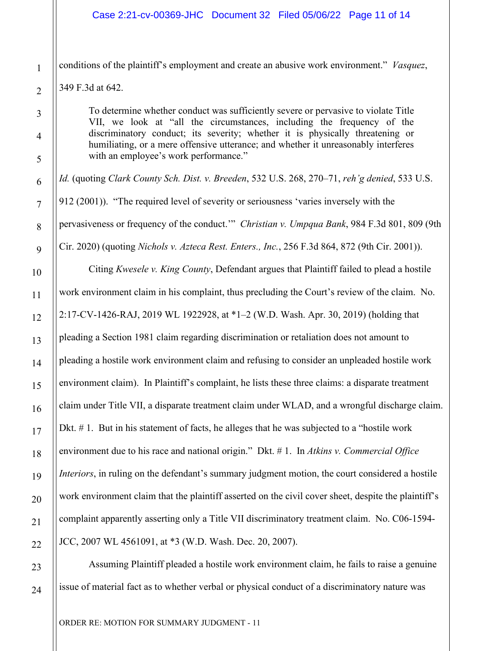conditions of the plaintiff's employment and create an abusive work environment." *Vasquez*,

349 F.3d at 642.

To determine whether conduct was sufficiently severe or pervasive to violate Title VII, we look at "all the circumstances, including the frequency of the discriminatory conduct; its severity; whether it is physically threatening or humiliating, or a mere offensive utterance; and whether it unreasonably interferes with an employee's work performance."

*Id.* (quoting *Clark County Sch. Dist. v. Breeden*, 532 U.S. 268, 270–71, *reh'g denied*, 533 U.S. 912 (2001)). "The required level of severity or seriousness 'varies inversely with the pervasiveness or frequency of the conduct.'" *Christian v. Umpqua Bank*, 984 F.3d 801, 809 (9th Cir. 2020) (quoting *Nichols v. Azteca Rest. Enters., Inc.*, 256 F.3d 864, 872 (9th Cir. 2001)).

Citing *Kwesele v. King County*, Defendant argues that Plaintiff failed to plead a hostile work environment claim in his complaint, thus precluding the Court's review of the claim. No. 2:17-CV-1426-RAJ, 2019 WL 1922928, at \*1–2 (W.D. Wash. Apr. 30, 2019) (holding that pleading a Section 1981 claim regarding discrimination or retaliation does not amount to pleading a hostile work environment claim and refusing to consider an unpleaded hostile work environment claim). In Plaintiff's complaint, he lists these three claims: a disparate treatment claim under Title VII, a disparate treatment claim under WLAD, and a wrongful discharge claim. Dkt. # 1. But in his statement of facts, he alleges that he was subjected to a "hostile work environment due to his race and national origin." Dkt. # 1. In *Atkins v. Commercial Office Interiors*, in ruling on the defendant's summary judgment motion, the court considered a hostile work environment claim that the plaintiff asserted on the civil cover sheet, despite the plaintiff's complaint apparently asserting only a Title VII discriminatory treatment claim. No. C06-1594- JCC, 2007 WL 4561091, at \*3 (W.D. Wash. Dec. 20, 2007).

Assuming Plaintiff pleaded a hostile work environment claim, he fails to raise a genuine issue of material fact as to whether verbal or physical conduct of a discriminatory nature was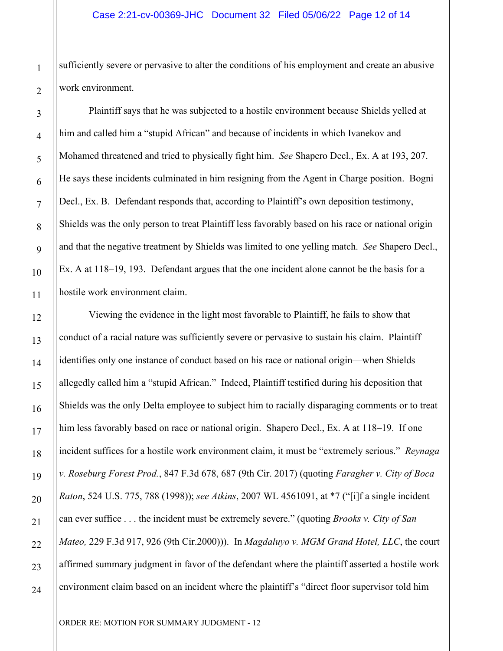sufficiently severe or pervasive to alter the conditions of his employment and create an abusive work environment.

Plaintiff says that he was subjected to a hostile environment because Shields yelled at him and called him a "stupid African" and because of incidents in which Ivanekov and Mohamed threatened and tried to physically fight him. *See* Shapero Decl., Ex. A at 193, 207. He says these incidents culminated in him resigning from the Agent in Charge position. Bogni Decl., Ex. B. Defendant responds that, according to Plaintiff's own deposition testimony, Shields was the only person to treat Plaintiff less favorably based on his race or national origin and that the negative treatment by Shields was limited to one yelling match. *See* Shapero Decl., Ex. A at 118–19, 193. Defendant argues that the one incident alone cannot be the basis for a hostile work environment claim.

Viewing the evidence in the light most favorable to Plaintiff, he fails to show that conduct of a racial nature was sufficiently severe or pervasive to sustain his claim. Plaintiff identifies only one instance of conduct based on his race or national origin—when Shields allegedly called him a "stupid African." Indeed, Plaintiff testified during his deposition that Shields was the only Delta employee to subject him to racially disparaging comments or to treat him less favorably based on race or national origin. Shapero Decl., Ex. A at 118–19. If one incident suffices for a hostile work environment claim, it must be "extremely serious." *Reynaga v. Roseburg Forest Prod.*, 847 F.3d 678, 687 (9th Cir. 2017) (quoting *Faragher v. City of Boca Raton*, 524 U.S. 775, 788 (1998)); *see Atkins*, 2007 WL 4561091, at \*7 ("[i]f a single incident can ever suffice . . . the incident must be extremely severe." (quoting *Brooks v. City of San Mateo,* 229 F.3d 917, 926 (9th Cir.2000))). In *Magdaluyo v. MGM Grand Hotel, LLC*, the court affirmed summary judgment in favor of the defendant where the plaintiff asserted a hostile work environment claim based on an incident where the plaintiff's "direct floor supervisor told him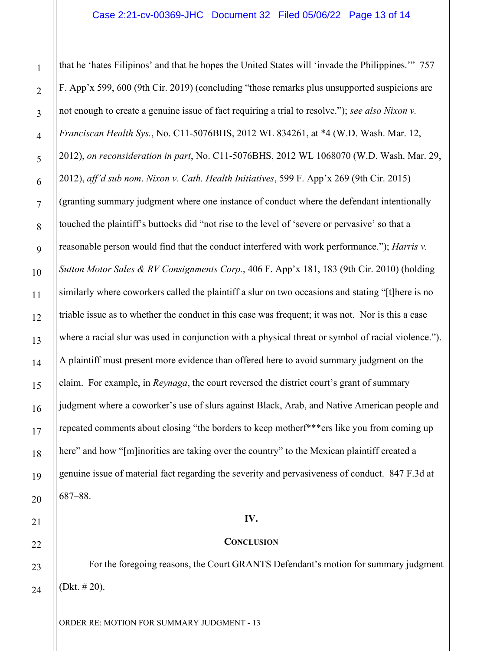that he 'hates Filipinos' and that he hopes the United States will 'invade the Philippines.'" 757 F. App'x 599, 600 (9th Cir. 2019) (concluding "those remarks plus unsupported suspicions are not enough to create a genuine issue of fact requiring a trial to resolve."); *see also Nixon v. Franciscan Health Sys.*, No. C11-5076BHS, 2012 WL 834261, at \*4 (W.D. Wash. Mar. 12, 2012), *on reconsideration in part*, No. C11-5076BHS, 2012 WL 1068070 (W.D. Wash. Mar. 29, 2012), *aff'd sub nom*. *Nixon v. Cath. Health Initiatives*, 599 F. App'x 269 (9th Cir. 2015) (granting summary judgment where one instance of conduct where the defendant intentionally touched the plaintiff's buttocks did "not rise to the level of 'severe or pervasive' so that a reasonable person would find that the conduct interfered with work performance."); *Harris v. Sutton Motor Sales & RV Consignments Corp.*, 406 F. App'x 181, 183 (9th Cir. 2010) (holding similarly where coworkers called the plaintiff a slur on two occasions and stating "[t]here is no triable issue as to whether the conduct in this case was frequent; it was not. Nor is this a case where a racial slur was used in conjunction with a physical threat or symbol of racial violence."). A plaintiff must present more evidence than offered here to avoid summary judgment on the claim. For example, in *Reynaga*, the court reversed the district court's grant of summary judgment where a coworker's use of slurs against Black, Arab, and Native American people and repeated comments about closing "the borders to keep motherf\*\*\*ers like you from coming up here" and how "[m]inorities are taking over the country" to the Mexican plaintiff created a genuine issue of material fact regarding the severity and pervasiveness of conduct. 847 F.3d at 687–88.

#### **IV.**

#### **CONCLUSION**

For the foregoing reasons, the Court GRANTS Defendant's motion for summary judgment (Dkt. # 20).